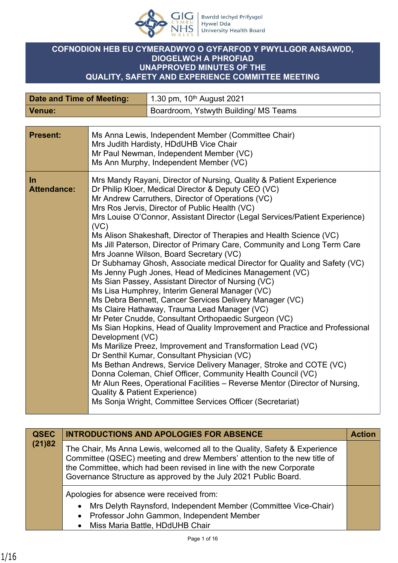

## **COFNODION HEB EU CYMERADWYO O GYFARFOD Y PWYLLGOR ANSAWDD, DIOGELWCH A PHROFIAD UNAPPROVED MINUTES OF THE QUALITY, SAFETY AND EXPERIENCE COMMITTEE MEETING**

| Date and Time of Meeting: | 1.30 pm, $10^{th}$ August 2021        |
|---------------------------|---------------------------------------|
| Venue:                    | Boardroom, Ystwyth Building/ MS Teams |

| <b>Present:</b>           | Ms Anna Lewis, Independent Member (Committee Chair)<br>Mrs Judith Hardisty, HDdUHB Vice Chair<br>Mr Paul Newman, Independent Member (VC)<br>Ms Ann Murphy, Independent Member (VC)                                                                                                                                                                                                                                                                                                                                                                                                                                                                                                                                                                                                                                                                                                                                                                                                                                                                                                                                                                                                                                                                                                                                                                                                                                                                                                   |
|---------------------------|--------------------------------------------------------------------------------------------------------------------------------------------------------------------------------------------------------------------------------------------------------------------------------------------------------------------------------------------------------------------------------------------------------------------------------------------------------------------------------------------------------------------------------------------------------------------------------------------------------------------------------------------------------------------------------------------------------------------------------------------------------------------------------------------------------------------------------------------------------------------------------------------------------------------------------------------------------------------------------------------------------------------------------------------------------------------------------------------------------------------------------------------------------------------------------------------------------------------------------------------------------------------------------------------------------------------------------------------------------------------------------------------------------------------------------------------------------------------------------------|
| In.<br><b>Attendance:</b> | Mrs Mandy Rayani, Director of Nursing, Quality & Patient Experience<br>Dr Philip Kloer, Medical Director & Deputy CEO (VC)<br>Mr Andrew Carruthers, Director of Operations (VC)<br>Mrs Ros Jervis, Director of Public Health (VC)<br>Mrs Louise O'Connor, Assistant Director (Legal Services/Patient Experience)<br>(VC)<br>Ms Alison Shakeshaft, Director of Therapies and Health Science (VC)<br>Ms Jill Paterson, Director of Primary Care, Community and Long Term Care<br>Mrs Joanne Wilson, Board Secretary (VC)<br>Dr Subhamay Ghosh, Associate medical Director for Quality and Safety (VC)<br>Ms Jenny Pugh Jones, Head of Medicines Management (VC)<br>Ms Sian Passey, Assistant Director of Nursing (VC)<br>Ms Lisa Humphrey, Interim General Manager (VC)<br>Ms Debra Bennett, Cancer Services Delivery Manager (VC)<br>Ms Claire Hathaway, Trauma Lead Manager (VC)<br>Mr Peter Cnudde, Consultant Orthopaedic Surgeon (VC)<br>Ms Sian Hopkins, Head of Quality Improvement and Practice and Professional<br>Development (VC)<br>Ms Marilize Preez, Improvement and Transformation Lead (VC)<br>Dr Senthil Kumar, Consultant Physician (VC)<br>Ms Bethan Andrews, Service Delivery Manager, Stroke and COTE (VC)<br>Donna Coleman, Chief Officer, Community Health Council (VC)<br>Mr Alun Rees, Operational Facilities - Reverse Mentor (Director of Nursing,<br><b>Quality &amp; Patient Experience)</b><br>Ms Sonja Wright, Committee Services Officer (Secretariat) |

| <b>QSEC</b><br>(21)82 | <b>INTRODUCTIONS AND APOLOGIES FOR ABSENCE</b>                                                                                                                                                                                                                                                    | <b>Action</b> |
|-----------------------|---------------------------------------------------------------------------------------------------------------------------------------------------------------------------------------------------------------------------------------------------------------------------------------------------|---------------|
|                       | The Chair, Ms Anna Lewis, welcomed all to the Quality, Safety & Experience<br>Committee (QSEC) meeting and drew Members' attention to the new title of<br>the Committee, which had been revised in line with the new Corporate<br>Governance Structure as approved by the July 2021 Public Board. |               |
|                       | Apologies for absence were received from:<br>Mrs Delyth Raynsford, Independent Member (Committee Vice-Chair)<br>• Professor John Gammon, Independent Member<br>• Miss Maria Battle, HDdUHB Chair                                                                                                  |               |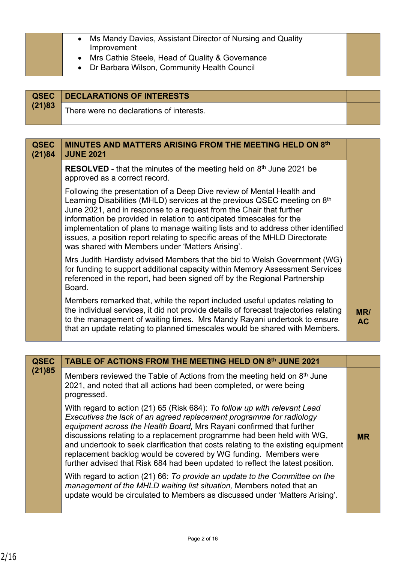| Ms Mandy Davies, Assistant Director of Nursing and Quality<br>Improvement<br>• Mrs Cathie Steele, Head of Quality & Governance<br>• Dr Barbara Wilson, Community Health Council |  |
|---------------------------------------------------------------------------------------------------------------------------------------------------------------------------------|--|
|---------------------------------------------------------------------------------------------------------------------------------------------------------------------------------|--|

|        | <b>QSEC</b>   DECLARATIONS OF INTERESTS  |  |
|--------|------------------------------------------|--|
| (21)83 | There were no declarations of interests. |  |

| <b>QSEC</b><br>(21)84 | MINUTES AND MATTERS ARISING FROM THE MEETING HELD ON 8th<br><b>JUNE 2021</b>                                                                                                                                                                                                                                                                                                                                                                                                                                                          |                  |
|-----------------------|---------------------------------------------------------------------------------------------------------------------------------------------------------------------------------------------------------------------------------------------------------------------------------------------------------------------------------------------------------------------------------------------------------------------------------------------------------------------------------------------------------------------------------------|------------------|
|                       | <b>RESOLVED</b> - that the minutes of the meeting held on $8th$ June 2021 be<br>approved as a correct record.                                                                                                                                                                                                                                                                                                                                                                                                                         |                  |
|                       | Following the presentation of a Deep Dive review of Mental Health and<br>Learning Disabilities (MHLD) services at the previous QSEC meeting on 8 <sup>th</sup><br>June 2021, and in response to a request from the Chair that further<br>information be provided in relation to anticipated timescales for the<br>implementation of plans to manage waiting lists and to address other identified<br>issues, a position report relating to specific areas of the MHLD Directorate<br>was shared with Members under 'Matters Arising'. |                  |
|                       | Mrs Judith Hardisty advised Members that the bid to Welsh Government (WG)<br>for funding to support additional capacity within Memory Assessment Services<br>referenced in the report, had been signed off by the Regional Partnership<br>Board.                                                                                                                                                                                                                                                                                      |                  |
|                       | Members remarked that, while the report included useful updates relating to<br>the individual services, it did not provide details of forecast trajectories relating<br>to the management of waiting times. Mrs Mandy Rayani undertook to ensure<br>that an update relating to planned timescales would be shared with Members.                                                                                                                                                                                                       | MR/<br><b>AC</b> |

| <b>QSEC</b> | TABLE OF ACTIONS FROM THE MEETING HELD ON 8th JUNE 2021                                                                                                                                                                                                                                                                                                                                                                                                                                                                                        |           |
|-------------|------------------------------------------------------------------------------------------------------------------------------------------------------------------------------------------------------------------------------------------------------------------------------------------------------------------------------------------------------------------------------------------------------------------------------------------------------------------------------------------------------------------------------------------------|-----------|
| (21)85      | Members reviewed the Table of Actions from the meeting held on 8th June<br>2021, and noted that all actions had been completed, or were being<br>progressed.                                                                                                                                                                                                                                                                                                                                                                                   |           |
|             | With regard to action (21) 65 (Risk 684): To follow up with relevant Lead<br>Executives the lack of an agreed replacement programme for radiology<br>equipment across the Health Board, Mrs Rayani confirmed that further<br>discussions relating to a replacement programme had been held with WG,<br>and undertook to seek clarification that costs relating to the existing equipment<br>replacement backlog would be covered by WG funding. Members were<br>further advised that Risk 684 had been updated to reflect the latest position. | <b>MR</b> |
|             | With regard to action (21) 66: To provide an update to the Committee on the<br>management of the MHLD waiting list situation, Members noted that an<br>update would be circulated to Members as discussed under 'Matters Arising'.                                                                                                                                                                                                                                                                                                             |           |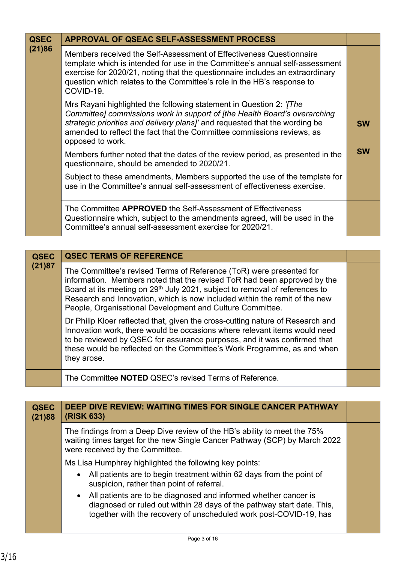| <b>QSEC</b> | APPROVAL OF QSEAC SELF-ASSESSMENT PROCESS                                                                                                                                                                                                                                                                                     |           |
|-------------|-------------------------------------------------------------------------------------------------------------------------------------------------------------------------------------------------------------------------------------------------------------------------------------------------------------------------------|-----------|
| (21)86      | Members received the Self-Assessment of Effectiveness Questionnaire<br>template which is intended for use in the Committee's annual self-assessment<br>exercise for 2020/21, noting that the questionnaire includes an extraordinary<br>question which relates to the Committee's role in the HB's response to<br>COVID-19.   |           |
|             | Mrs Rayani highlighted the following statement in Question 2: '[The<br>Committee] commissions work in support of [the Health Board's overarching<br>strategic priorities and delivery plans]' and requested that the wording be<br>amended to reflect the fact that the Committee commissions reviews, as<br>opposed to work. | <b>SW</b> |
|             | Members further noted that the dates of the review period, as presented in the<br>questionnaire, should be amended to 2020/21.                                                                                                                                                                                                | <b>SW</b> |
|             | Subject to these amendments, Members supported the use of the template for<br>use in the Committee's annual self-assessment of effectiveness exercise.                                                                                                                                                                        |           |
|             | The Committee APPROVED the Self-Assessment of Effectiveness<br>Questionnaire which, subject to the amendments agreed, will be used in the<br>Committee's annual self-assessment exercise for 2020/21.                                                                                                                         |           |

| <b>QSEC</b> | <b>QSEC TERMS OF REFERENCE</b>                                                                                                                                                                                                                                                                                                                                                        |  |
|-------------|---------------------------------------------------------------------------------------------------------------------------------------------------------------------------------------------------------------------------------------------------------------------------------------------------------------------------------------------------------------------------------------|--|
| (21)87      | The Committee's revised Terms of Reference (ToR) were presented for<br>information. Members noted that the revised ToR had been approved by the<br>Board at its meeting on 29 <sup>th</sup> July 2021, subject to removal of references to<br>Research and Innovation, which is now included within the remit of the new<br>People, Organisational Development and Culture Committee. |  |
|             | Dr Philip Kloer reflected that, given the cross-cutting nature of Research and<br>Innovation work, there would be occasions where relevant items would need<br>to be reviewed by QSEC for assurance purposes, and it was confirmed that<br>these would be reflected on the Committee's Work Programme, as and when<br>they arose.                                                     |  |
|             | The Committee NOTED QSEC's revised Terms of Reference.                                                                                                                                                                                                                                                                                                                                |  |

| <b>QSEC</b><br>(21)88 | DEEP DIVE REVIEW: WAITING TIMES FOR SINGLE CANCER PATHWAY<br>(RISK 633)                                                                                                                                          |  |
|-----------------------|------------------------------------------------------------------------------------------------------------------------------------------------------------------------------------------------------------------|--|
|                       | The findings from a Deep Dive review of the HB's ability to meet the 75%<br>waiting times target for the new Single Cancer Pathway (SCP) by March 2022<br>were received by the Committee.                        |  |
|                       | Ms Lisa Humphrey highlighted the following key points:                                                                                                                                                           |  |
|                       | • All patients are to begin treatment within 62 days from the point of<br>suspicion, rather than point of referral.                                                                                              |  |
|                       | • All patients are to be diagnosed and informed whether cancer is<br>diagnosed or ruled out within 28 days of the pathway start date. This,<br>together with the recovery of unscheduled work post-COVID-19, has |  |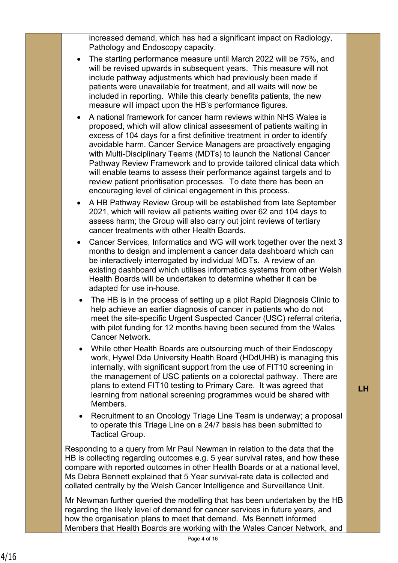increased demand, which has had a significant impact on Radiology, Pathology and Endoscopy capacity.

- The starting performance measure until March 2022 will be 75%, and will be revised upwards in subsequent years. This measure will not include pathway adjustments which had previously been made if patients were unavailable for treatment, and all waits will now be included in reporting. While this clearly benefits patients, the new measure will impact upon the HB's performance figures.
- A national framework for cancer harm reviews within NHS Wales is proposed, which will allow clinical assessment of patients waiting in excess of 104 days for a first definitive treatment in order to identify avoidable harm. Cancer Service Managers are proactively engaging with Multi-Disciplinary Teams (MDTs) to launch the National Cancer Pathway Review Framework and to provide tailored clinical data which will enable teams to assess their performance against targets and to review patient prioritisation processes. To date there has been an encouraging level of clinical engagement in this process.
- A HB Pathway Review Group will be established from late September 2021, which will review all patients waiting over 62 and 104 days to assess harm; the Group will also carry out joint reviews of tertiary cancer treatments with other Health Boards.
- Cancer Services, Informatics and WG will work together over the next 3 months to design and implement a cancer data dashboard which can be interactively interrogated by individual MDTs. A review of an existing dashboard which utilises informatics systems from other Welsh Health Boards will be undertaken to determine whether it can be adapted for use in-house.
- The HB is in the process of setting up a pilot Rapid Diagnosis Clinic to help achieve an earlier diagnosis of cancer in patients who do not meet the site-specific Urgent Suspected Cancer (USC) referral criteria. with pilot funding for 12 months having been secured from the Wales Cancer Network.
- While other Health Boards are outsourcing much of their Endoscopy work, Hywel Dda University Health Board (HDdUHB) is managing this internally, with significant support from the use of FIT10 screening in the management of USC patients on a colorectal pathway. There are plans to extend FIT10 testing to Primary Care. It was agreed that learning from national screening programmes would be shared with **Members**
- Recruitment to an Oncology Triage Line Team is underway; a proposal to operate this Triage Line on a 24/7 basis has been submitted to Tactical Group.

Responding to a query from Mr Paul Newman in relation to the data that the HB is collecting regarding outcomes e.g. 5 year survival rates, and how these compare with reported outcomes in other Health Boards or at a national level, Ms Debra Bennett explained that 5 Year survival-rate data is collected and collated centrally by the Welsh Cancer Intelligence and Surveillance Unit.

Mr Newman further queried the modelling that has been undertaken by the HB regarding the likely level of demand for cancer services in future years, and how the organisation plans to meet that demand. Ms Bennett informed Members that Health Boards are working with the Wales Cancer Network, and **LH**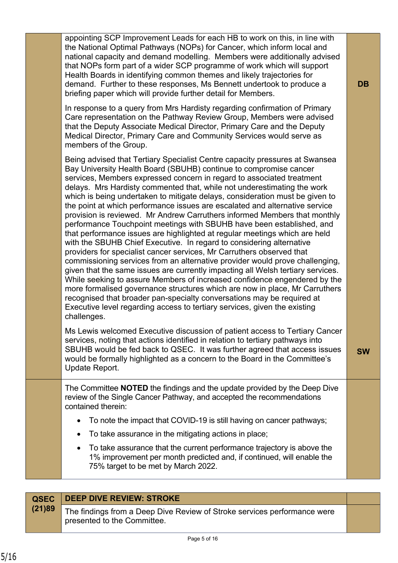| appointing SCP Improvement Leads for each HB to work on this, in line with<br>the National Optimal Pathways (NOPs) for Cancer, which inform local and<br>national capacity and demand modelling. Members were additionally advised<br>that NOPs form part of a wider SCP programme of work which will support<br>Health Boards in identifying common themes and likely trajectories for<br>demand. Further to these responses, Ms Bennett undertook to produce a<br>briefing paper which will provide further detail for Members.<br>In response to a query from Mrs Hardisty regarding confirmation of Primary<br>Care representation on the Pathway Review Group, Members were advised                                                                                                                                                                                                                                                                                                                                                                                                                                                                                                                                                                                                                                                                      | <b>DB</b> |
|---------------------------------------------------------------------------------------------------------------------------------------------------------------------------------------------------------------------------------------------------------------------------------------------------------------------------------------------------------------------------------------------------------------------------------------------------------------------------------------------------------------------------------------------------------------------------------------------------------------------------------------------------------------------------------------------------------------------------------------------------------------------------------------------------------------------------------------------------------------------------------------------------------------------------------------------------------------------------------------------------------------------------------------------------------------------------------------------------------------------------------------------------------------------------------------------------------------------------------------------------------------------------------------------------------------------------------------------------------------|-----------|
| that the Deputy Associate Medical Director, Primary Care and the Deputy<br>Medical Director, Primary Care and Community Services would serve as<br>members of the Group.                                                                                                                                                                                                                                                                                                                                                                                                                                                                                                                                                                                                                                                                                                                                                                                                                                                                                                                                                                                                                                                                                                                                                                                      |           |
| Being advised that Tertiary Specialist Centre capacity pressures at Swansea<br>Bay University Health Board (SBUHB) continue to compromise cancer<br>services, Members expressed concern in regard to associated treatment<br>delays. Mrs Hardisty commented that, while not underestimating the work<br>which is being undertaken to mitigate delays, consideration must be given to<br>the point at which performance issues are escalated and alternative service<br>provision is reviewed. Mr Andrew Carruthers informed Members that monthly<br>performance Touchpoint meetings with SBUHB have been established, and<br>that performance issues are highlighted at regular meetings which are held<br>with the SBUHB Chief Executive. In regard to considering alternative<br>providers for specialist cancer services, Mr Carruthers observed that<br>commissioning services from an alternative provider would prove challenging,<br>given that the same issues are currently impacting all Welsh tertiary services.<br>While seeking to assure Members of increased confidence engendered by the<br>more formalised governance structures which are now in place, Mr Carruthers<br>recognised that broader pan-specialty conversations may be required at<br>Executive level regarding access to tertiary services, given the existing<br>challenges. |           |
| Ms Lewis welcomed Executive discussion of patient access to Tertiary Cancer<br>services, noting that actions identified in relation to tertiary pathways into<br>SBUHB would be fed back to QSEC. It was further agreed that access issues<br>would be formally highlighted as a concern to the Board in the Committee's<br>Update Report.                                                                                                                                                                                                                                                                                                                                                                                                                                                                                                                                                                                                                                                                                                                                                                                                                                                                                                                                                                                                                    | <b>SW</b> |
| The Committee <b>NOTED</b> the findings and the update provided by the Deep Dive<br>review of the Single Cancer Pathway, and accepted the recommendations<br>contained therein:                                                                                                                                                                                                                                                                                                                                                                                                                                                                                                                                                                                                                                                                                                                                                                                                                                                                                                                                                                                                                                                                                                                                                                               |           |
| To note the impact that COVID-19 is still having on cancer pathways;<br>$\bullet$                                                                                                                                                                                                                                                                                                                                                                                                                                                                                                                                                                                                                                                                                                                                                                                                                                                                                                                                                                                                                                                                                                                                                                                                                                                                             |           |
| To take assurance in the mitigating actions in place;                                                                                                                                                                                                                                                                                                                                                                                                                                                                                                                                                                                                                                                                                                                                                                                                                                                                                                                                                                                                                                                                                                                                                                                                                                                                                                         |           |
| To take assurance that the current performance trajectory is above the<br>1% improvement per month predicted and, if continued, will enable the<br>75% target to be met by March 2022.                                                                                                                                                                                                                                                                                                                                                                                                                                                                                                                                                                                                                                                                                                                                                                                                                                                                                                                                                                                                                                                                                                                                                                        |           |
|                                                                                                                                                                                                                                                                                                                                                                                                                                                                                                                                                                                                                                                                                                                                                                                                                                                                                                                                                                                                                                                                                                                                                                                                                                                                                                                                                               |           |

|        | <b>QSEC</b> DEEP DIVE REVIEW: STROKE                                                                    |  |
|--------|---------------------------------------------------------------------------------------------------------|--|
| (21)89 | The findings from a Deep Dive Review of Stroke services performance were<br>presented to the Committee. |  |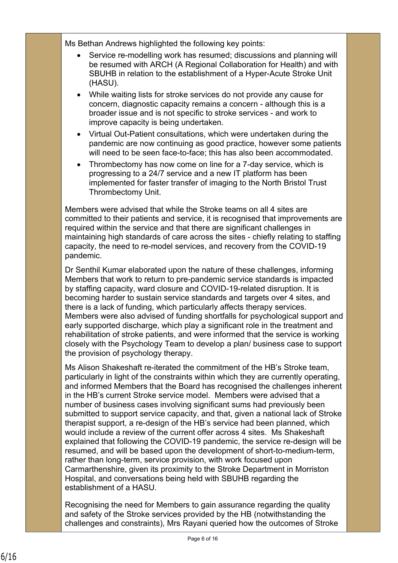Ms Bethan Andrews highlighted the following key points:

- Service re-modelling work has resumed; discussions and planning will be resumed with ARCH (A Regional Collaboration for Health) and with SBUHB in relation to the establishment of a Hyper-Acute Stroke Unit (HASU).
- While waiting lists for stroke services do not provide any cause for concern, diagnostic capacity remains a concern - although this is a broader issue and is not specific to stroke services - and work to improve capacity is being undertaken.
- Virtual Out-Patient consultations, which were undertaken during the pandemic are now continuing as good practice, however some patients will need to be seen face-to-face; this has also been accommodated.
- Thrombectomy has now come on line for a 7-day service, which is progressing to a 24/7 service and a new IT platform has been implemented for faster transfer of imaging to the North Bristol Trust Thrombectomy Unit.

Members were advised that while the Stroke teams on all 4 sites are committed to their patients and service, it is recognised that improvements are required within the service and that there are significant challenges in maintaining high standards of care across the sites - chiefly relating to staffing capacity, the need to re-model services, and recovery from the COVID-19 pandemic.

Dr Senthil Kumar elaborated upon the nature of these challenges, informing Members that work to return to pre-pandemic service standards is impacted by staffing capacity, ward closure and COVID-19-related disruption. It is becoming harder to sustain service standards and targets over 4 sites, and there is a lack of funding, which particularly affects therapy services. Members were also advised of funding shortfalls for psychological support and early supported discharge, which play a significant role in the treatment and rehabilitation of stroke patients, and were informed that the service is working closely with the Psychology Team to develop a plan/ business case to support the provision of psychology therapy.

Ms Alison Shakeshaft re-iterated the commitment of the HB's Stroke team, particularly in light of the constraints within which they are currently operating, and informed Members that the Board has recognised the challenges inherent in the HB's current Stroke service model. Members were advised that a number of business cases involving significant sums had previously been submitted to support service capacity, and that, given a national lack of Stroke therapist support, a re-design of the HB's service had been planned, which would include a review of the current offer across 4 sites. Ms Shakeshaft explained that following the COVID-19 pandemic, the service re-design will be resumed, and will be based upon the development of short-to-medium-term, rather than long-term, service provision, with work focused upon Carmarthenshire, given its proximity to the Stroke Department in Morriston Hospital, and conversations being held with SBUHB regarding the establishment of a HASU.

Recognising the need for Members to gain assurance regarding the quality and safety of the Stroke services provided by the HB (notwithstanding the challenges and constraints), Mrs Rayani queried how the outcomes of Stroke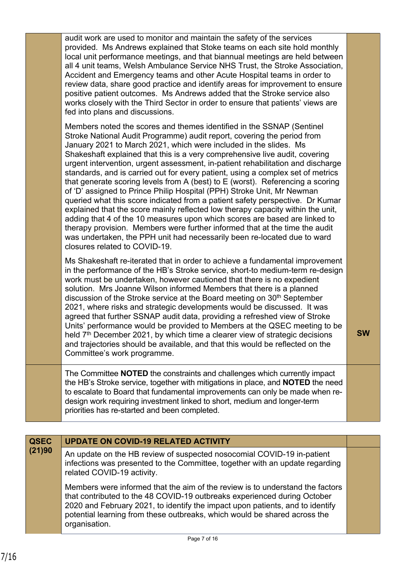|                | Accident and Emergency teams and other Acute Hospital teams in order to<br>review data, share good practice and identify areas for improvement to ensure<br>positive patient outcomes. Ms Andrews added that the Stroke service also<br>works closely with the Third Sector in order to ensure that patients' views are<br>fed into plans and discussions.                                                                                                                                                                                                                                                                                                                                                                                                                                                                                                                                                                                                                                                                                                                           |           |
|----------------|--------------------------------------------------------------------------------------------------------------------------------------------------------------------------------------------------------------------------------------------------------------------------------------------------------------------------------------------------------------------------------------------------------------------------------------------------------------------------------------------------------------------------------------------------------------------------------------------------------------------------------------------------------------------------------------------------------------------------------------------------------------------------------------------------------------------------------------------------------------------------------------------------------------------------------------------------------------------------------------------------------------------------------------------------------------------------------------|-----------|
|                | Members noted the scores and themes identified in the SSNAP (Sentinel<br>Stroke National Audit Programme) audit report, covering the period from<br>January 2021 to March 2021, which were included in the slides. Ms<br>Shakeshaft explained that this is a very comprehensive live audit, covering<br>urgent intervention, urgent assessment, in-patient rehabilitation and discharge<br>standards, and is carried out for every patient, using a complex set of metrics<br>that generate scoring levels from A (best) to E (worst). Referencing a scoring<br>of 'D' assigned to Prince Philip Hospital (PPH) Stroke Unit, Mr Newman<br>queried what this score indicated from a patient safety perspective. Dr Kumar<br>explained that the score mainly reflected low therapy capacity within the unit,<br>adding that 4 of the 10 measures upon which scores are based are linked to<br>therapy provision. Members were further informed that at the time the audit<br>was undertaken, the PPH unit had necessarily been re-located due to ward<br>closures related to COVID-19. |           |
|                | Ms Shakeshaft re-iterated that in order to achieve a fundamental improvement<br>in the performance of the HB's Stroke service, short-to medium-term re-design<br>work must be undertaken, however cautioned that there is no expedient<br>solution. Mrs Joanne Wilson informed Members that there is a planned<br>discussion of the Stroke service at the Board meeting on 30 <sup>th</sup> September<br>2021, where risks and strategic developments would be discussed. It was<br>agreed that further SSNAP audit data, providing a refreshed view of Stroke<br>Units' performance would be provided to Members at the QSEC meeting to be<br>held 7 <sup>th</sup> December 2021, by which time a clearer view of strategic decisions<br>and trajectories should be available, and that this would be reflected on the<br>Committee's work programme.                                                                                                                                                                                                                               | <b>SW</b> |
|                | The Committee NOTED the constraints and challenges which currently impact<br>the HB's Stroke service, together with mitigations in place, and <b>NOTED</b> the need<br>to escalate to Board that fundamental improvements can only be made when re-<br>design work requiring investment linked to short, medium and longer-term<br>priorities has re-started and been completed.                                                                                                                                                                                                                                                                                                                                                                                                                                                                                                                                                                                                                                                                                                     |           |
|                |                                                                                                                                                                                                                                                                                                                                                                                                                                                                                                                                                                                                                                                                                                                                                                                                                                                                                                                                                                                                                                                                                      |           |
| QSEC<br>(21)90 | <b>UPDATE ON COVID-19 RELATED ACTIVITY</b>                                                                                                                                                                                                                                                                                                                                                                                                                                                                                                                                                                                                                                                                                                                                                                                                                                                                                                                                                                                                                                           |           |
|                | An update on the HB review of suspected nosocomial COVID-19 in-patient<br>infections was presented to the Committee, together with an update regarding<br>related COVID-19 activity.                                                                                                                                                                                                                                                                                                                                                                                                                                                                                                                                                                                                                                                                                                                                                                                                                                                                                                 |           |
|                | Members were informed that the aim of the review is to understand the factors<br>that contributed to the 48 COVID-19 outbreaks experienced during October<br>2020 and February 2021, to identify the impact upon patients, and to identify<br>potential learning from these outbreaks, which would be shared across the<br>organisation.                                                                                                                                                                                                                                                                                                                                                                                                                                                                                                                                                                                                                                                                                                                                             |           |
|                | Page 7 of 16                                                                                                                                                                                                                                                                                                                                                                                                                                                                                                                                                                                                                                                                                                                                                                                                                                                                                                                                                                                                                                                                         |           |
|                |                                                                                                                                                                                                                                                                                                                                                                                                                                                                                                                                                                                                                                                                                                                                                                                                                                                                                                                                                                                                                                                                                      |           |

audit work are used to monitor and maintain the safety of the services

provided. Ms Andrews explained that Stoke teams on each site hold monthly local unit performance meetings, and that biannual meetings are held between all 4 unit teams, Welsh Ambulance Service NHS Trust, the Stroke Association,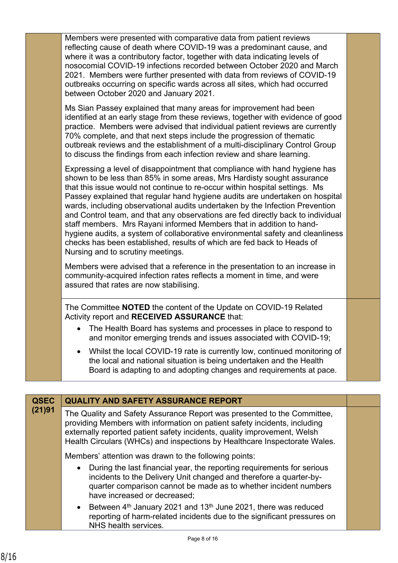| Members were presented with comparative data from patient reviews<br>reflecting cause of death where COVID-19 was a predominant cause, and<br>where it was a contributory factor, together with data indicating levels of<br>nosocomial COVID-19 infections recorded between October 2020 and March<br>2021. Members were further presented with data from reviews of COVID-19<br>outbreaks occurring on specific wards across all sites, which had occurred<br>between October 2020 and January 2021.                                                                                                                                                                                                                                                          |  |
|-----------------------------------------------------------------------------------------------------------------------------------------------------------------------------------------------------------------------------------------------------------------------------------------------------------------------------------------------------------------------------------------------------------------------------------------------------------------------------------------------------------------------------------------------------------------------------------------------------------------------------------------------------------------------------------------------------------------------------------------------------------------|--|
| Ms Sian Passey explained that many areas for improvement had been<br>identified at an early stage from these reviews, together with evidence of good<br>practice. Members were advised that individual patient reviews are currently<br>70% complete, and that next steps include the progression of thematic<br>outbreak reviews and the establishment of a multi-disciplinary Control Group<br>to discuss the findings from each infection review and share learning.                                                                                                                                                                                                                                                                                         |  |
| Expressing a level of disappointment that compliance with hand hygiene has<br>shown to be less than 85% in some areas, Mrs Hardisty sought assurance<br>that this issue would not continue to re-occur within hospital settings. Ms<br>Passey explained that regular hand hygiene audits are undertaken on hospital<br>wards, including observational audits undertaken by the Infection Prevention<br>and Control team, and that any observations are fed directly back to individual<br>staff members. Mrs Rayani informed Members that in addition to hand-<br>hygiene audits, a system of collaborative environmental safety and cleanliness<br>checks has been established, results of which are fed back to Heads of<br>Nursing and to scrutiny meetings. |  |
| Members were advised that a reference in the presentation to an increase in<br>community-acquired infection rates reflects a moment in time, and were<br>assured that rates are now stabilising.                                                                                                                                                                                                                                                                                                                                                                                                                                                                                                                                                                |  |
| The Committee <b>NOTED</b> the content of the Update on COVID-19 Related<br>Activity report and RECEIVED ASSURANCE that:                                                                                                                                                                                                                                                                                                                                                                                                                                                                                                                                                                                                                                        |  |
| • The Health Board has systems and processes in place to respond to<br>and monitor emerging trends and issues associated with COVID-19;                                                                                                                                                                                                                                                                                                                                                                                                                                                                                                                                                                                                                         |  |
| Whilst the local COVID-19 rate is currently low, continued monitoring of<br>$\bullet$<br>the local and national situation is being undertaken and the Health<br>Board is adapting to and adopting changes and requirements at pace.                                                                                                                                                                                                                                                                                                                                                                                                                                                                                                                             |  |
|                                                                                                                                                                                                                                                                                                                                                                                                                                                                                                                                                                                                                                                                                                                                                                 |  |

| <b>QSEC</b><br>(21)91 | <b>QUALITY AND SAFETY ASSURANCE REPORT</b>                                                                                                                                                                                                                                                                    |  |
|-----------------------|---------------------------------------------------------------------------------------------------------------------------------------------------------------------------------------------------------------------------------------------------------------------------------------------------------------|--|
|                       | The Quality and Safety Assurance Report was presented to the Committee,<br>providing Members with information on patient safety incidents, including<br>externally reported patient safety incidents, quality improvement, Welsh<br>Health Circulars (WHCs) and inspections by Healthcare Inspectorate Wales. |  |
|                       | Members' attention was drawn to the following points:                                                                                                                                                                                                                                                         |  |
|                       | During the last financial year, the reporting requirements for serious<br>incidents to the Delivery Unit changed and therefore a quarter-by-<br>quarter comparison cannot be made as to whether incident numbers<br>have increased or decreased;                                                              |  |
|                       | Between $4th$ January 2021 and 13 <sup>th</sup> June 2021, there was reduced<br>$\bullet$<br>reporting of harm-related incidents due to the significant pressures on<br>NHS health services.                                                                                                                  |  |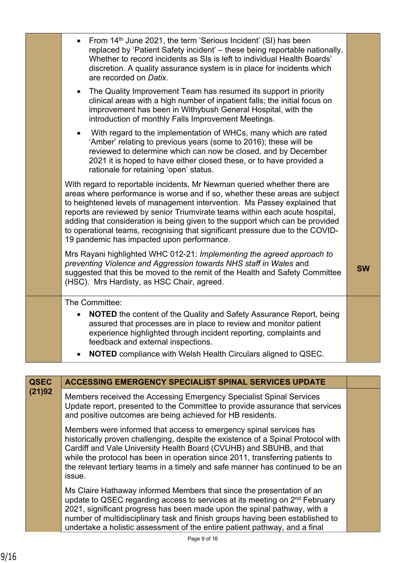|             | • From $14th$ June 2021, the term 'Serious Incident' (SI) has been<br>replaced by 'Patient Safety incident' - these being reportable nationally.<br>Whether to record incidents as SIs is left to individual Health Boards'<br>discretion. A quality assurance system is in place for incidents which<br>are recorded on Datix.                                                                                                                                                                                                      |           |
|-------------|--------------------------------------------------------------------------------------------------------------------------------------------------------------------------------------------------------------------------------------------------------------------------------------------------------------------------------------------------------------------------------------------------------------------------------------------------------------------------------------------------------------------------------------|-----------|
|             | • The Quality Improvement Team has resumed its support in priority<br>clinical areas with a high number of inpatient falls; the initial focus on<br>improvement has been in Withybush General Hospital, with the<br>introduction of monthly Falls Improvement Meetings.                                                                                                                                                                                                                                                              |           |
|             | With regard to the implementation of WHCs, many which are rated<br>$\bullet$<br>'Amber' relating to previous years (some to 2016); these will be<br>reviewed to determine which can now be closed, and by December<br>2021 it is hoped to have either closed these, or to have provided a<br>rationale for retaining 'open' status.                                                                                                                                                                                                  |           |
|             | With regard to reportable incidents, Mr Newman queried whether there are<br>areas where performance is worse and if so, whether these areas are subject<br>to heightened levels of management intervention. Ms Passey explained that<br>reports are reviewed by senior Triumvirate teams within each acute hospital,<br>adding that consideration is being given to the support which can be provided<br>to operational teams, recognising that significant pressure due to the COVID-<br>19 pandemic has impacted upon performance. |           |
|             | Mrs Rayani highlighted WHC 012-21: Implementing the agreed approach to<br>preventing Violence and Aggression towards NHS staff in Wales and<br>suggested that this be moved to the remit of the Health and Safety Committee<br>(HSC). Mrs Hardisty, as HSC Chair, agreed.                                                                                                                                                                                                                                                            | <b>SW</b> |
|             | The Committee:                                                                                                                                                                                                                                                                                                                                                                                                                                                                                                                       |           |
|             | <b>NOTED</b> the content of the Quality and Safety Assurance Report, being<br>assured that processes are in place to review and monitor patient<br>experience highlighted through incident reporting, complaints and<br>feedback and external inspections.                                                                                                                                                                                                                                                                           |           |
|             | <b>NOTED</b> compliance with Welsh Health Circulars aligned to QSEC.<br>$\bullet$                                                                                                                                                                                                                                                                                                                                                                                                                                                    |           |
|             |                                                                                                                                                                                                                                                                                                                                                                                                                                                                                                                                      |           |
| <b>QSEC</b> | <b>ACCESSING EMERGENCY SPECIALIST SPINAL SERVICES UPDATE</b>                                                                                                                                                                                                                                                                                                                                                                                                                                                                         |           |
| (21)92      | Members received the Accessing Emergency Specialist Spinal Services<br>Update report, presented to the Committee to provide assurance that services<br>and positive outcomes are being achieved for HB residents.                                                                                                                                                                                                                                                                                                                    |           |
|             | Members were informed that access to emergency sningl services has                                                                                                                                                                                                                                                                                                                                                                                                                                                                   |           |

 $\operatorname{\mathsf{ar}}$  access to emergency spinal service historically proven challenging, despite the existence of a Spinal Protocol with Cardiff and Vale University Health Board (CVUHB) and SBUHB, and that while the protocol has been in operation since 2011, transferring patients to the relevant tertiary teams in a timely and safe manner has continued to be an issue.

Ms Claire Hathaway informed Members that since the presentation of an update to QSEC regarding access to services at its meeting on 2<sup>nd</sup> February 2021, significant progress has been made upon the spinal pathway, with a number of multidisciplinary task and finish groups having been established to undertake a holistic assessment of the entire patient pathway, and a final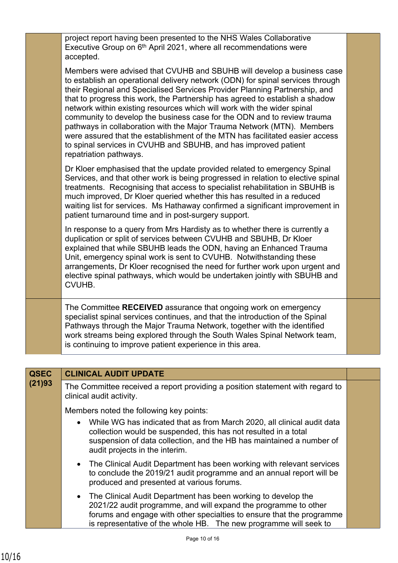|             | project report having been presented to the NHS Wales Collaborative<br>Executive Group on 6 <sup>th</sup> April 2021, where all recommendations were<br>accepted.                                                                                                                                                                                                                                                                                                                                                                                                                                                                                                                                                                   |  |
|-------------|-------------------------------------------------------------------------------------------------------------------------------------------------------------------------------------------------------------------------------------------------------------------------------------------------------------------------------------------------------------------------------------------------------------------------------------------------------------------------------------------------------------------------------------------------------------------------------------------------------------------------------------------------------------------------------------------------------------------------------------|--|
|             | Members were advised that CVUHB and SBUHB will develop a business case<br>to establish an operational delivery network (ODN) for spinal services through<br>their Regional and Specialised Services Provider Planning Partnership, and<br>that to progress this work, the Partnership has agreed to establish a shadow<br>network within existing resources which will work with the wider spinal<br>community to develop the business case for the ODN and to review trauma<br>pathways in collaboration with the Major Trauma Network (MTN). Members<br>were assured that the establishment of the MTN has facilitated easier access<br>to spinal services in CVUHB and SBUHB, and has improved patient<br>repatriation pathways. |  |
|             | Dr Kloer emphasised that the update provided related to emergency Spinal<br>Services, and that other work is being progressed in relation to elective spinal<br>treatments. Recognising that access to specialist rehabilitation in SBUHB is<br>much improved, Dr Kloer queried whether this has resulted in a reduced<br>waiting list for services. Ms Hathaway confirmed a significant improvement in<br>patient turnaround time and in post-surgery support.                                                                                                                                                                                                                                                                     |  |
|             | In response to a query from Mrs Hardisty as to whether there is currently a<br>duplication or split of services between CVUHB and SBUHB, Dr Kloer<br>explained that while SBUHB leads the ODN, having an Enhanced Trauma<br>Unit, emergency spinal work is sent to CVUHB. Notwithstanding these<br>arrangements, Dr Kloer recognised the need for further work upon urgent and<br>elective spinal pathways, which would be undertaken jointly with SBUHB and<br>CVUHB.                                                                                                                                                                                                                                                              |  |
|             | The Committee RECEIVED assurance that ongoing work on emergency<br>specialist spinal services continues, and that the introduction of the Spinal<br>Pathways through the Major Trauma Network, together with the identified<br>work streams being explored through the South Wales Spinal Network team,<br>is continuing to improve patient experience in this area.                                                                                                                                                                                                                                                                                                                                                                |  |
|             |                                                                                                                                                                                                                                                                                                                                                                                                                                                                                                                                                                                                                                                                                                                                     |  |
| <b>QSEC</b> | <b>CLINICAL AUDIT UPDATE</b>                                                                                                                                                                                                                                                                                                                                                                                                                                                                                                                                                                                                                                                                                                        |  |
| (21)93      | The Committee received a report providing a position statement with regard to<br>clinical audit activity.                                                                                                                                                                                                                                                                                                                                                                                                                                                                                                                                                                                                                           |  |
|             | Members noted the following key points:                                                                                                                                                                                                                                                                                                                                                                                                                                                                                                                                                                                                                                                                                             |  |
|             | While WG has indicated that as from March 2020, all clinical audit data<br>$\bullet$<br>collection would be suspended, this has not resulted in a total<br>suspension of data collection, and the HB has maintained a number of<br>audit projects in the interim.                                                                                                                                                                                                                                                                                                                                                                                                                                                                   |  |

- The Clinical Audit Department has been working with relevant services to conclude the 2019/21 audit programme and an annual report will be produced and presented at various forums.
- The Clinical Audit Department has been working to develop the 2021/22 audit programme, and will expand the programme to other forums and engage with other specialties to ensure that the programme is representative of the whole HB. The new programme will seek to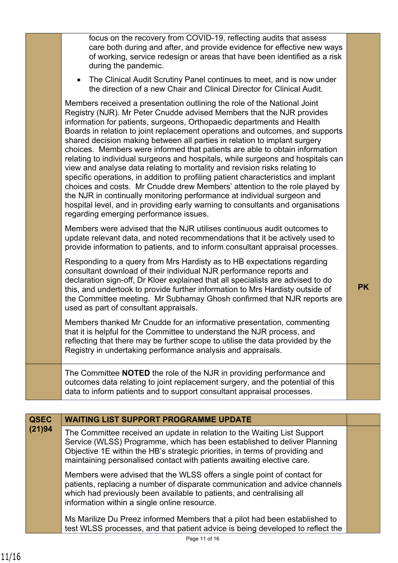|             | focus on the recovery from COVID-19, reflecting audits that assess<br>care both during and after, and provide evidence for effective new ways<br>of working, service redesign or areas that have been identified as a risk<br>during the pandemic.<br>The Clinical Audit Scrutiny Panel continues to meet, and is now under<br>the direction of a new Chair and Clinical Director for Clinical Audit.<br>Members received a presentation outlining the role of the National Joint<br>Registry (NJR). Mr Peter Cnudde advised Members that the NJR provides<br>information for patients, surgeons, Orthopaedic departments and Health                                                                                                                                                  |           |
|-------------|---------------------------------------------------------------------------------------------------------------------------------------------------------------------------------------------------------------------------------------------------------------------------------------------------------------------------------------------------------------------------------------------------------------------------------------------------------------------------------------------------------------------------------------------------------------------------------------------------------------------------------------------------------------------------------------------------------------------------------------------------------------------------------------|-----------|
|             | Boards in relation to joint replacement operations and outcomes, and supports<br>shared decision making between all parties in relation to implant surgery<br>choices. Members were informed that patients are able to obtain information<br>relating to individual surgeons and hospitals, while surgeons and hospitals can<br>view and analyse data relating to mortality and revision risks relating to<br>specific operations, in addition to profiling patient characteristics and implant<br>choices and costs. Mr Cnudde drew Members' attention to the role played by<br>the NJR in continually monitoring performance at individual surgeon and<br>hospital level, and in providing early warning to consultants and organisations<br>regarding emerging performance issues. |           |
|             | Members were advised that the NJR utilises continuous audit outcomes to<br>update relevant data, and noted recommendations that it be actively used to<br>provide information to patients, and to inform consultant appraisal processes.                                                                                                                                                                                                                                                                                                                                                                                                                                                                                                                                              |           |
|             | Responding to a query from Mrs Hardisty as to HB expectations regarding<br>consultant download of their individual NJR performance reports and<br>declaration sign-off, Dr Kloer explained that all specialists are advised to do<br>this, and undertook to provide further information to Mrs Hardisty outside of<br>the Committee meeting. Mr Subhamay Ghosh confirmed that NJR reports are<br>used as part of consultant appraisals.                                                                                                                                                                                                                                                                                                                                               | <b>PK</b> |
|             | Members thanked Mr Cnudde for an informative presentation, commenting<br>that it is helpful for the Committee to understand the NJR process, and<br>reflecting that there may be further scope to utilise the data provided by the<br>Registry in undertaking performance analysis and appraisals.                                                                                                                                                                                                                                                                                                                                                                                                                                                                                    |           |
|             | The Committee <b>NOTED</b> the role of the NJR in providing performance and<br>outcomes data relating to joint replacement surgery, and the potential of this<br>data to inform patients and to support consultant appraisal processes.                                                                                                                                                                                                                                                                                                                                                                                                                                                                                                                                               |           |
|             |                                                                                                                                                                                                                                                                                                                                                                                                                                                                                                                                                                                                                                                                                                                                                                                       |           |
| <b>QSEC</b> | <b>WAITING LIST SUPPORT PROGRAMME UPDATE</b>                                                                                                                                                                                                                                                                                                                                                                                                                                                                                                                                                                                                                                                                                                                                          |           |
| (21)94      | The Committee received an update in relation to the Waiting List Support<br>Service (WLSS) Programme, which has been established to deliver Planning<br>Objective 1E within the HB's strategic priorities, in terms of providing and<br>maintaining personalised contact with patients awaiting elective care.                                                                                                                                                                                                                                                                                                                                                                                                                                                                        |           |
|             | Members were advised that the WLSS offers a single point of contact for<br>patients, replacing a number of disparate communication and advice channels<br>which had previously been available to patients, and centralising all<br>information within a single online resource.                                                                                                                                                                                                                                                                                                                                                                                                                                                                                                       |           |
|             | Ms Marilize Du Preez informed Members that a pilot had been established to                                                                                                                                                                                                                                                                                                                                                                                                                                                                                                                                                                                                                                                                                                            |           |

Page 11 of 16 test WLSS processes, and that patient advice is being developed to reflect the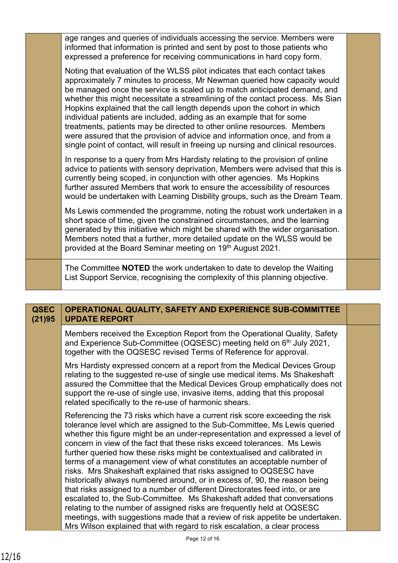| age ranges and queries of individuals accessing the service. Members were<br>informed that information is printed and sent by post to those patients who<br>expressed a preference for receiving communications in hard copy form.                                                                                                                                                                                                                                                                                                                                                                                                                                                                                     |  |
|------------------------------------------------------------------------------------------------------------------------------------------------------------------------------------------------------------------------------------------------------------------------------------------------------------------------------------------------------------------------------------------------------------------------------------------------------------------------------------------------------------------------------------------------------------------------------------------------------------------------------------------------------------------------------------------------------------------------|--|
| Noting that evaluation of the WLSS pilot indicates that each contact takes<br>approximately 7 minutes to process, Mr Newman queried how capacity would<br>be managed once the service is scaled up to match anticipated demand, and<br>whether this might necessitate a streamlining of the contact process. Ms Sian<br>Hopkins explained that the call length depends upon the cohort in which<br>individual patients are included, adding as an example that for some<br>treatments, patients may be directed to other online resources. Members<br>were assured that the provision of advice and information once, and from a<br>single point of contact, will result in freeing up nursing and clinical resources. |  |
| In response to a query from Mrs Hardisty relating to the provision of online<br>advice to patients with sensory deprivation, Members were advised that this is<br>currently being scoped, in conjunction with other agencies. Ms Hopkins<br>further assured Members that work to ensure the accessibility of resources<br>would be undertaken with Learning Disbility groups, such as the Dream Team.                                                                                                                                                                                                                                                                                                                  |  |
| Ms Lewis commended the programme, noting the robust work undertaken in a<br>short space of time, given the constrained circumstances, and the learning<br>generated by this initiative which might be shared with the wider organisation.<br>Members noted that a further, more detailed update on the WLSS would be<br>provided at the Board Seminar meeting on 19th August 2021.                                                                                                                                                                                                                                                                                                                                     |  |
| The Committee <b>NOTED</b> the work undertaken to date to develop the Waiting<br>List Support Service, recognising the complexity of this planning objective.                                                                                                                                                                                                                                                                                                                                                                                                                                                                                                                                                          |  |

| <b>QSEC</b><br>(21)95 | <b>OPERATIONAL QUALITY, SAFETY AND EXPERIENCE SUB-COMMITTEE</b><br><b>UPDATE REPORT</b>                                                                                                                                                                                                                                                                                                                                                                                                                                                                                                                                                                                                                                                                                                                                                                                                                                                                                                                                            |  |
|-----------------------|------------------------------------------------------------------------------------------------------------------------------------------------------------------------------------------------------------------------------------------------------------------------------------------------------------------------------------------------------------------------------------------------------------------------------------------------------------------------------------------------------------------------------------------------------------------------------------------------------------------------------------------------------------------------------------------------------------------------------------------------------------------------------------------------------------------------------------------------------------------------------------------------------------------------------------------------------------------------------------------------------------------------------------|--|
|                       | Members received the Exception Report from the Operational Quality, Safety<br>and Experience Sub-Committee (OQSESC) meeting held on 6 <sup>th</sup> July 2021,<br>together with the OQSESC revised Terms of Reference for approval.                                                                                                                                                                                                                                                                                                                                                                                                                                                                                                                                                                                                                                                                                                                                                                                                |  |
|                       | Mrs Hardisty expressed concern at a report from the Medical Devices Group<br>relating to the suggested re-use of single use medical items. Ms Shakeshaft<br>assured the Committee that the Medical Devices Group emphatically does not<br>support the re-use of single use, invasive items, adding that this proposal<br>related specifically to the re-use of harmonic shears.                                                                                                                                                                                                                                                                                                                                                                                                                                                                                                                                                                                                                                                    |  |
|                       | Referencing the 73 risks which have a current risk score exceeding the risk<br>tolerance level which are assigned to the Sub-Committee, Ms Lewis queried<br>whether this figure might be an under-representation and expressed a level of<br>concern in view of the fact that these risks exceed tolerances. Ms Lewis<br>further queried how these risks might be contextualised and calibrated in<br>terms of a management view of what constitutes an acceptable number of<br>risks. Mrs Shakeshaft explained that risks assigned to OQSESC have<br>historically always numbered around, or in excess of, 90, the reason being<br>that risks assigned to a number of different Directorates feed into, or are<br>escalated to, the Sub-Committee. Ms Shakeshaft added that conversations<br>relating to the number of assigned risks are frequently held at OQSESC<br>meetings, with suggestions made that a review of risk appetite be undertaken.<br>Mrs Wilson explained that with regard to risk escalation, a clear process |  |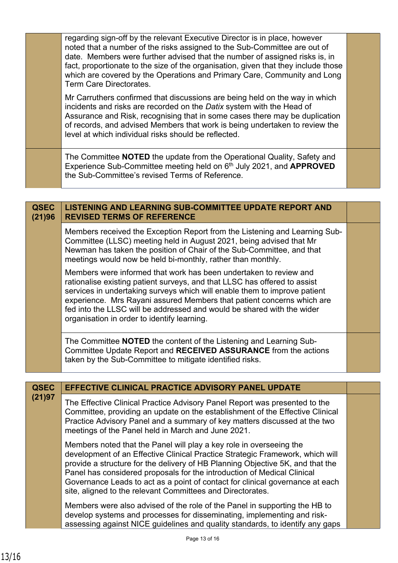regarding sign-off by the relevant Executive Director is in place, however noted that a number of the risks assigned to the Sub-Committee are out of date. Members were further advised that the number of assigned risks is, in fact, proportionate to the size of the organisation, given that they include those which are covered by the Operations and Primary Care, Community and Long Term Care Directorates. Mr Carruthers confirmed that discussions are being held on the way in which incidents and risks are recorded on the *Datix* system with the Head of Assurance and Risk, recognising that in some cases there may be duplication of records, and advised Members that work is being undertaken to review the

The Committee **NOTED** the update from the Operational Quality, Safety and Experience Sub-Committee meeting held on 6th July 2021, and **APPROVED**  the Sub-Committee's revised Terms of Reference.

level at which individual risks should be reflected.

| <b>QSEC</b><br>(21)96 | <b>LISTENING AND LEARNING SUB-COMMITTEE UPDATE REPORT AND</b><br><b>REVISED TERMS OF REFERENCE</b>                                                                                                                                                                                                                                                                                                                             |  |
|-----------------------|--------------------------------------------------------------------------------------------------------------------------------------------------------------------------------------------------------------------------------------------------------------------------------------------------------------------------------------------------------------------------------------------------------------------------------|--|
|                       | Members received the Exception Report from the Listening and Learning Sub-<br>Committee (LLSC) meeting held in August 2021, being advised that Mr<br>Newman has taken the position of Chair of the Sub-Committee, and that<br>meetings would now be held bi-monthly, rather than monthly.                                                                                                                                      |  |
|                       | Members were informed that work has been undertaken to review and<br>rationalise existing patient surveys, and that LLSC has offered to assist<br>services in undertaking surveys which will enable them to improve patient<br>experience. Mrs Rayani assured Members that patient concerns which are<br>fed into the LLSC will be addressed and would be shared with the wider<br>organisation in order to identify learning. |  |
|                       | The Committee <b>NOTED</b> the content of the Listening and Learning Sub-<br>Committee Update Report and RECEIVED ASSURANCE from the actions<br>taken by the Sub-Committee to mitigate identified risks.                                                                                                                                                                                                                       |  |

| <b>QSEC</b> | <b>EFFECTIVE CLINICAL PRACTICE ADVISORY PANEL UPDATE</b>                                                                                                                                                                                                                                                                                                                                                                                                         |  |
|-------------|------------------------------------------------------------------------------------------------------------------------------------------------------------------------------------------------------------------------------------------------------------------------------------------------------------------------------------------------------------------------------------------------------------------------------------------------------------------|--|
| (21)97      | The Effective Clinical Practice Advisory Panel Report was presented to the<br>Committee, providing an update on the establishment of the Effective Clinical<br>Practice Advisory Panel and a summary of key matters discussed at the two<br>meetings of the Panel held in March and June 2021.                                                                                                                                                                   |  |
|             | Members noted that the Panel will play a key role in overseeing the<br>development of an Effective Clinical Practice Strategic Framework, which will<br>provide a structure for the delivery of HB Planning Objective 5K, and that the<br>Panel has considered proposals for the introduction of Medical Clinical<br>Governance Leads to act as a point of contact for clinical governance at each<br>site, aligned to the relevant Committees and Directorates. |  |
|             | Members were also advised of the role of the Panel in supporting the HB to<br>develop systems and processes for disseminating, implementing and risk-<br>assessing against NICE guidelines and quality standards, to identify any gaps                                                                                                                                                                                                                           |  |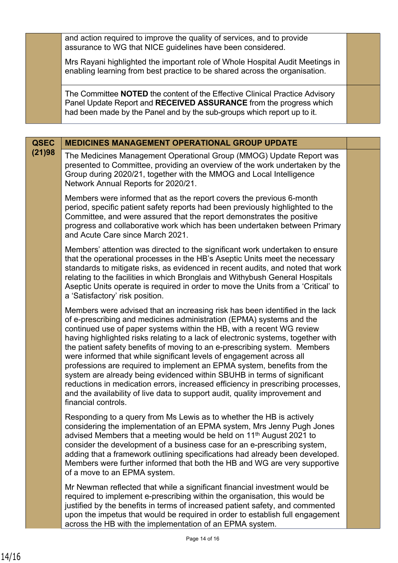and action required to improve the quality of services, and to provide assurance to WG that NICE guidelines have been considered.

Mrs Rayani highlighted the important role of Whole Hospital Audit Meetings in enabling learning from best practice to be shared across the organisation.

The Committee **NOTED** the content of the Effective Clinical Practice Advisory Panel Update Report and **RECEIVED ASSURANCE** from the progress which had been made by the Panel and by the sub-groups which report up to it.

| <b>QSEC</b> | <b>MEDICINES MANAGEMENT OPERATIONAL GROUP UPDATE</b>                                                                                                                                                                                                                                                                                                                                                                                                                                                                                                                                                                                                                                                                                                                                                                  |  |
|-------------|-----------------------------------------------------------------------------------------------------------------------------------------------------------------------------------------------------------------------------------------------------------------------------------------------------------------------------------------------------------------------------------------------------------------------------------------------------------------------------------------------------------------------------------------------------------------------------------------------------------------------------------------------------------------------------------------------------------------------------------------------------------------------------------------------------------------------|--|
| (21)98      | The Medicines Management Operational Group (MMOG) Update Report was<br>presented to Committee, providing an overview of the work undertaken by the<br>Group during 2020/21, together with the MMOG and Local Intelligence<br>Network Annual Reports for 2020/21.                                                                                                                                                                                                                                                                                                                                                                                                                                                                                                                                                      |  |
|             | Members were informed that as the report covers the previous 6-month<br>period, specific patient safety reports had been previously highlighted to the<br>Committee, and were assured that the report demonstrates the positive<br>progress and collaborative work which has been undertaken between Primary<br>and Acute Care since March 2021.                                                                                                                                                                                                                                                                                                                                                                                                                                                                      |  |
|             | Members' attention was directed to the significant work undertaken to ensure<br>that the operational processes in the HB's Aseptic Units meet the necessary<br>standards to mitigate risks, as evidenced in recent audits, and noted that work<br>relating to the facilities in which Bronglais and Withybush General Hospitals<br>Aseptic Units operate is required in order to move the Units from a 'Critical' to<br>a 'Satisfactory' risk position.                                                                                                                                                                                                                                                                                                                                                               |  |
|             | Members were advised that an increasing risk has been identified in the lack<br>of e-prescribing and medicines administration (EPMA) systems and the<br>continued use of paper systems within the HB, with a recent WG review<br>having highlighted risks relating to a lack of electronic systems, together with<br>the patient safety benefits of moving to an e-prescribing system. Members<br>were informed that while significant levels of engagement across all<br>professions are required to implement an EPMA system, benefits from the<br>system are already being evidenced within SBUHB in terms of significant<br>reductions in medication errors, increased efficiency in prescribing processes,<br>and the availability of live data to support audit, quality improvement and<br>financial controls. |  |
|             | Responding to a query from Ms Lewis as to whether the HB is actively<br>considering the implementation of an EPMA system, Mrs Jenny Pugh Jones<br>advised Members that a meeting would be held on 11 <sup>th</sup> August 2021 to<br>consider the development of a business case for an e-prescribing system,<br>adding that a framework outlining specifications had already been developed.<br>Members were further informed that both the HB and WG are very supportive<br>of a move to an EPMA system.                                                                                                                                                                                                                                                                                                            |  |
|             | Mr Newman reflected that while a significant financial investment would be<br>required to implement e-prescribing within the organisation, this would be<br>justified by the benefits in terms of increased patient safety, and commented<br>upon the impetus that would be required in order to establish full engagement<br>across the HB with the implementation of an EPMA system.                                                                                                                                                                                                                                                                                                                                                                                                                                |  |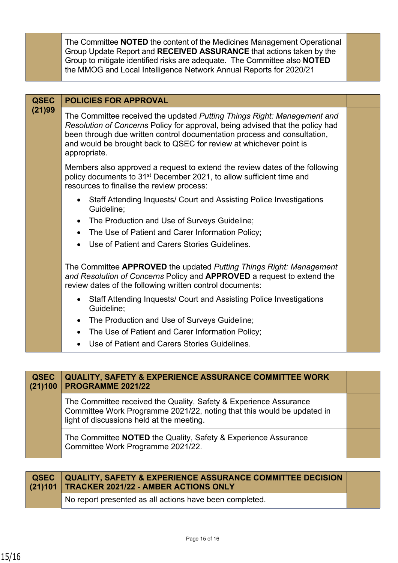The Committee **NOTED** the content of the Medicines Management Operational Group Update Report and **RECEIVED ASSURANCE** that actions taken by the Group to mitigate identified risks are adequate. The Committee also **NOTED** the MMOG and Local Intelligence Network Annual Reports for 2020/21

| <b>QSEC</b> | <b>POLICIES FOR APPROVAL</b>                                                                                                                                                                                                                                                                                               |  |
|-------------|----------------------------------------------------------------------------------------------------------------------------------------------------------------------------------------------------------------------------------------------------------------------------------------------------------------------------|--|
| (21)99      | The Committee received the updated Putting Things Right: Management and<br>Resolution of Concerns Policy for approval, being advised that the policy had<br>been through due written control documentation process and consultation,<br>and would be brought back to QSEC for review at whichever point is<br>appropriate. |  |
|             | Members also approved a request to extend the review dates of the following<br>policy documents to 31 <sup>st</sup> December 2021, to allow sufficient time and<br>resources to finalise the review process:                                                                                                               |  |
|             | Staff Attending Inquests/ Court and Assisting Police Investigations<br>Guideline;                                                                                                                                                                                                                                          |  |
|             | The Production and Use of Surveys Guideline;                                                                                                                                                                                                                                                                               |  |
|             | The Use of Patient and Carer Information Policy;<br>$\bullet$                                                                                                                                                                                                                                                              |  |
|             | Use of Patient and Carers Stories Guidelines.                                                                                                                                                                                                                                                                              |  |
|             | The Committee APPROVED the updated Putting Things Right: Management<br>and Resolution of Concerns Policy and APPROVED a request to extend the<br>review dates of the following written control documents:                                                                                                                  |  |
|             | • Staff Attending Inquests/ Court and Assisting Police Investigations<br>Guideline;                                                                                                                                                                                                                                        |  |
|             | The Production and Use of Surveys Guideline;<br>$\bullet$                                                                                                                                                                                                                                                                  |  |
|             | The Use of Patient and Carer Information Policy;                                                                                                                                                                                                                                                                           |  |
|             | Use of Patient and Carers Stories Guidelines.                                                                                                                                                                                                                                                                              |  |

| <b>QSEC</b><br>(21)100 | <b>QUALITY, SAFETY &amp; EXPERIENCE ASSURANCE COMMITTEE WORK</b><br>PROGRAMME 2021/22                                                                                                    |  |
|------------------------|------------------------------------------------------------------------------------------------------------------------------------------------------------------------------------------|--|
|                        | The Committee received the Quality, Safety & Experience Assurance<br>Committee Work Programme 2021/22, noting that this would be updated in<br>light of discussions held at the meeting. |  |
|                        | The Committee NOTED the Quality, Safety & Experience Assurance<br>Committee Work Programme 2021/22.                                                                                      |  |

| QSEC QUALITY, SAFETY & EXPERIENCE ASSURANCE COMMITTEE DECISION<br>(21)101   TRACKER 2021/22 - AMBER ACTIONS ONLY |  |
|------------------------------------------------------------------------------------------------------------------|--|
| No report presented as all actions have been completed.                                                          |  |